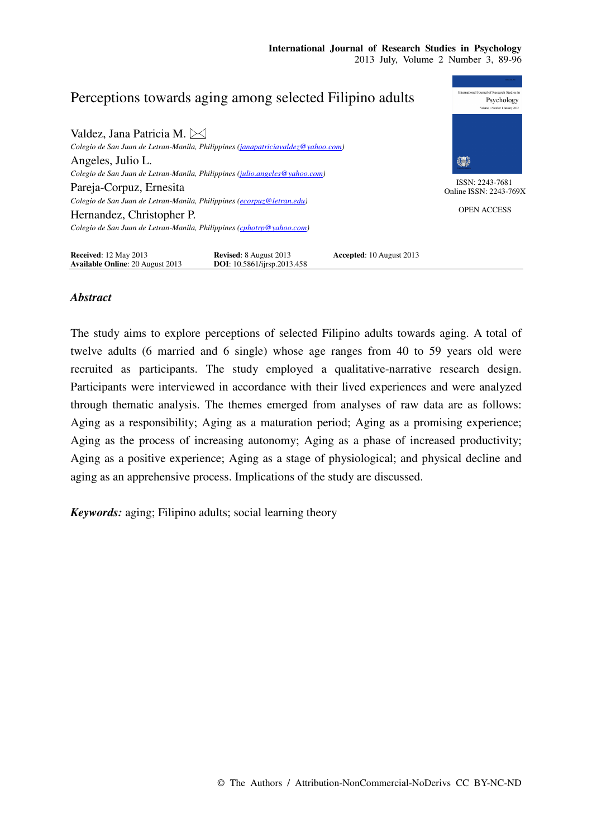## Perceptions towards aging among selected Filipino adults Psychology Valdez, Jana Patricia M.  $\boxtimes$ *Colegio de San Juan de Letran-Manila, Philippines (janapatriciavaldez@yahoo.com)*  Angeles, Julio L. 缥 *Colegio de San Juan de Letran-Manila, Philippines (julio.angeles@yahoo.com)*  ISSN: 2243-7681 Pareja-Corpuz, Ernesita Online ISSN: 2243-769X *Colegio de San Juan de Letran-Manila, Philippines (ecorpuz@letran.edu)*  OPEN ACCESS Hernandez, Christopher P. *Colegio de San Juan de Letran-Manila, Philippines (cphotrp@yahoo.com)*  **Received**: 12 May 2013 **Revised**: 8 August 2013 **Accepted**: 10 August 2013 **Available Online**: 20 August 2013 **DOI**: 10.5861/ijrsp.2013.458

# *Abstract*

The study aims to explore perceptions of selected Filipino adults towards aging. A total of twelve adults (6 married and 6 single) whose age ranges from 40 to 59 years old were recruited as participants. The study employed a qualitative-narrative research design. Participants were interviewed in accordance with their lived experiences and were analyzed through thematic analysis. The themes emerged from analyses of raw data are as follows: Aging as a responsibility; Aging as a maturation period; Aging as a promising experience; Aging as the process of increasing autonomy; Aging as a phase of increased productivity; Aging as a positive experience; Aging as a stage of physiological; and physical decline and aging as an apprehensive process. Implications of the study are discussed.

*Keywords:* aging; Filipino adults; social learning theory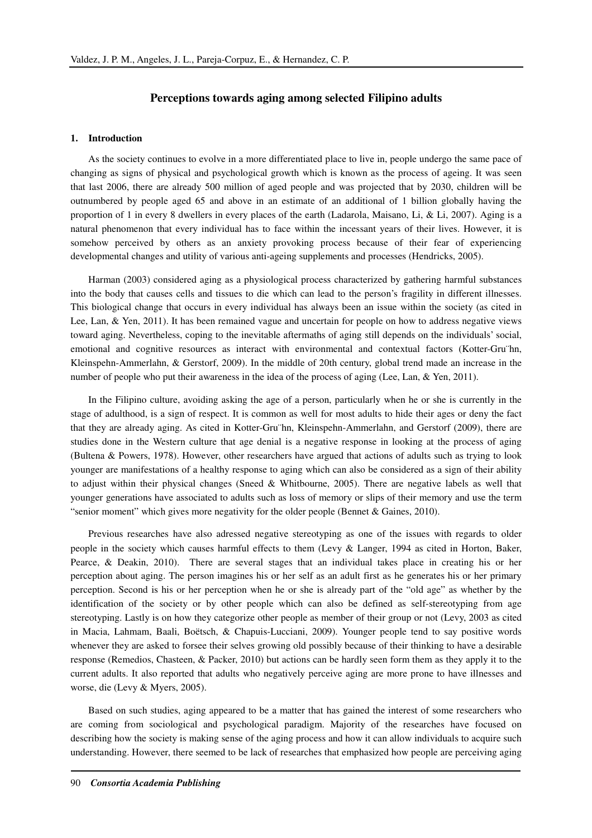## **Perceptions towards aging among selected Filipino adults**

## **1. Introduction**

As the society continues to evolve in a more differentiated place to live in, people undergo the same pace of changing as signs of physical and psychological growth which is known as the process of ageing. It was seen that last 2006, there are already 500 million of aged people and was projected that by 2030, children will be outnumbered by people aged 65 and above in an estimate of an additional of 1 billion globally having the proportion of 1 in every 8 dwellers in every places of the earth (Ladarola, Maisano, Li, & Li, 2007). Aging is a natural phenomenon that every individual has to face within the incessant years of their lives. However, it is somehow perceived by others as an anxiety provoking process because of their fear of experiencing developmental changes and utility of various anti-ageing supplements and processes (Hendricks, 2005).

Harman (2003) considered aging as a physiological process characterized by gathering harmful substances into the body that causes cells and tissues to die which can lead to the person's fragility in different illnesses. This biological change that occurs in every individual has always been an issue within the society (as cited in Lee, Lan, & Yen, 2011). It has been remained vague and uncertain for people on how to address negative views toward aging. Nevertheless, coping to the inevitable aftermaths of aging still depends on the individuals' social, emotional and cognitive resources as interact with environmental and contextual factors (Kotter-Gru¨hn, Kleinspehn-Ammerlahn, & Gerstorf, 2009). In the middle of 20th century, global trend made an increase in the number of people who put their awareness in the idea of the process of aging (Lee, Lan, & Yen, 2011).

In the Filipino culture, avoiding asking the age of a person, particularly when he or she is currently in the stage of adulthood, is a sign of respect. It is common as well for most adults to hide their ages or deny the fact that they are already aging. As cited in Kotter-Gru¨hn, Kleinspehn-Ammerlahn, and Gerstorf (2009), there are studies done in the Western culture that age denial is a negative response in looking at the process of aging (Bultena & Powers, 1978). However, other researchers have argued that actions of adults such as trying to look younger are manifestations of a healthy response to aging which can also be considered as a sign of their ability to adjust within their physical changes (Sneed & Whitbourne, 2005). There are negative labels as well that younger generations have associated to adults such as loss of memory or slips of their memory and use the term "senior moment" which gives more negativity for the older people (Bennet & Gaines, 2010).

Previous researches have also adressed negative stereotyping as one of the issues with regards to older people in the society which causes harmful effects to them (Levy & Langer, 1994 as cited in Horton, Baker, Pearce, & Deakin, 2010). There are several stages that an individual takes place in creating his or her perception about aging. The person imagines his or her self as an adult first as he generates his or her primary perception. Second is his or her perception when he or she is already part of the "old age" as whether by the identification of the society or by other people which can also be defined as self-stereotyping from age stereotyping. Lastly is on how they categorize other people as member of their group or not (Levy, 2003 as cited in Macia, Lahmam, Baali, Boëtsch, & Chapuis-Lucciani, 2009). Younger people tend to say positive words whenever they are asked to forsee their selves growing old possibly because of their thinking to have a desirable response (Remedios, Chasteen, & Packer, 2010) but actions can be hardly seen form them as they apply it to the current adults. It also reported that adults who negatively perceive aging are more prone to have illnesses and worse, die (Levy & Myers, 2005).

Based on such studies, aging appeared to be a matter that has gained the interest of some researchers who are coming from sociological and psychological paradigm. Majority of the researches have focused on describing how the society is making sense of the aging process and how it can allow individuals to acquire such understanding. However, there seemed to be lack of researches that emphasized how people are perceiving aging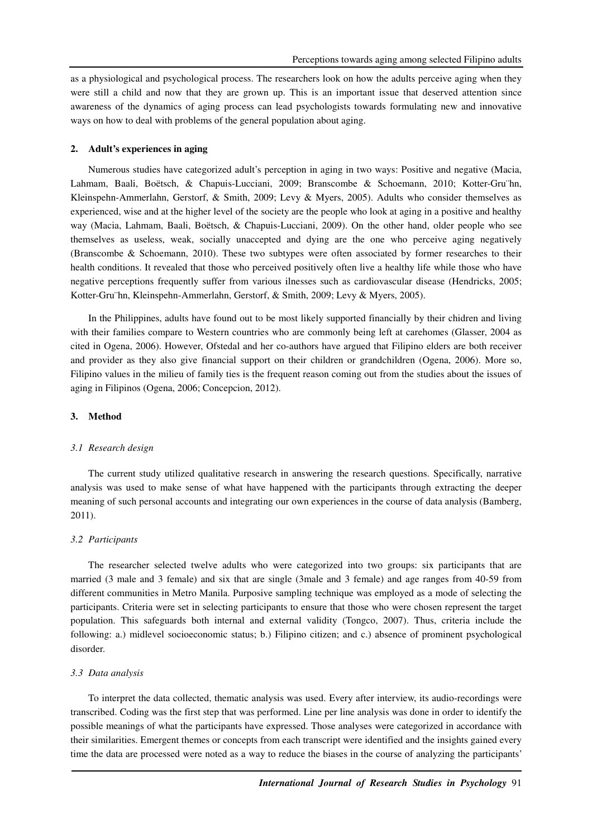as a physiological and psychological process. The researchers look on how the adults perceive aging when they were still a child and now that they are grown up. This is an important issue that deserved attention since awareness of the dynamics of aging process can lead psychologists towards formulating new and innovative ways on how to deal with problems of the general population about aging.

## **2. Adult's experiences in aging**

Numerous studies have categorized adult's perception in aging in two ways: Positive and negative (Macia, Lahmam, Baali, Boëtsch, & Chapuis-Lucciani, 2009; Branscombe & Schoemann, 2010; Kotter-Gru¨hn, Kleinspehn-Ammerlahn, Gerstorf, & Smith, 2009; Levy & Myers, 2005). Adults who consider themselves as experienced, wise and at the higher level of the society are the people who look at aging in a positive and healthy way (Macia, Lahmam, Baali, Boëtsch, & Chapuis-Lucciani, 2009). On the other hand, older people who see themselves as useless, weak, socially unaccepted and dying are the one who perceive aging negatively (Branscombe & Schoemann, 2010). These two subtypes were often associated by former researches to their health conditions. It revealed that those who perceived positively often live a healthy life while those who have negative perceptions frequently suffer from various ilnesses such as cardiovascular disease (Hendricks, 2005; Kotter-Gru¨hn, Kleinspehn-Ammerlahn, Gerstorf, & Smith, 2009; Levy & Myers, 2005).

In the Philippines, adults have found out to be most likely supported financially by their chidren and living with their families compare to Western countries who are commonly being left at carehomes (Glasser, 2004 as cited in Ogena, 2006). However, Ofstedal and her co-authors have argued that Filipino elders are both receiver and provider as they also give financial support on their children or grandchildren (Ogena, 2006). More so, Filipino values in the milieu of family ties is the frequent reason coming out from the studies about the issues of aging in Filipinos (Ogena, 2006; Concepcion, 2012).

## **3. Method**

#### *3.1 Research design*

The current study utilized qualitative research in answering the research questions. Specifically, narrative analysis was used to make sense of what have happened with the participants through extracting the deeper meaning of such personal accounts and integrating our own experiences in the course of data analysis (Bamberg, 2011).

## *3.2 Participants*

The researcher selected twelve adults who were categorized into two groups: six participants that are married (3 male and 3 female) and six that are single (3male and 3 female) and age ranges from 40-59 from different communities in Metro Manila. Purposive sampling technique was employed as a mode of selecting the participants. Criteria were set in selecting participants to ensure that those who were chosen represent the target population. This safeguards both internal and external validity (Tongco, 2007). Thus, criteria include the following: a.) midlevel socioeconomic status; b.) Filipino citizen; and c.) absence of prominent psychological disorder.

## *3.3 Data analysis*

To interpret the data collected, thematic analysis was used. Every after interview, its audio-recordings were transcribed. Coding was the first step that was performed. Line per line analysis was done in order to identify the possible meanings of what the participants have expressed. Those analyses were categorized in accordance with their similarities. Emergent themes or concepts from each transcript were identified and the insights gained every time the data are processed were noted as a way to reduce the biases in the course of analyzing the participants'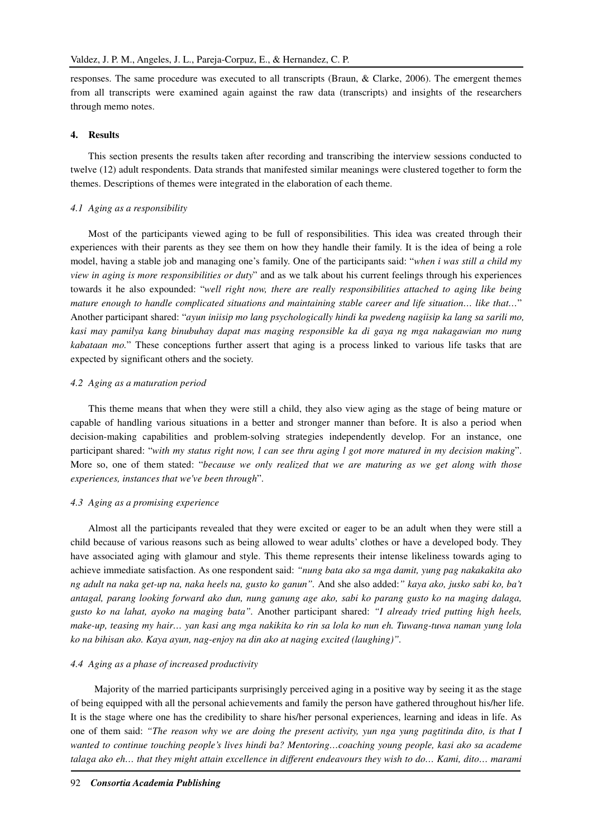responses. The same procedure was executed to all transcripts (Braun, & Clarke, 2006). The emergent themes from all transcripts were examined again against the raw data (transcripts) and insights of the researchers through memo notes.

## **4. Results**

This section presents the results taken after recording and transcribing the interview sessions conducted to twelve (12) adult respondents. Data strands that manifested similar meanings were clustered together to form the themes. Descriptions of themes were integrated in the elaboration of each theme.

#### *4.1 Aging as a responsibility*

Most of the participants viewed aging to be full of responsibilities. This idea was created through their experiences with their parents as they see them on how they handle their family. It is the idea of being a role model, having a stable job and managing one's family. One of the participants said: "*when i was still a child my view in aging is more responsibilities or duty*" and as we talk about his current feelings through his experiences towards it he also expounded: "*well right now, there are really responsibilities attached to aging like being mature enough to handle complicated situations and maintaining stable career and life situation… like that…*" Another participant shared: "*ayun iniisip mo lang psychologically hindi ka pwedeng nagiisip ka lang sa sarili mo, kasi may pamilya kang binubuhay dapat mas maging responsible ka di gaya ng mga nakagawian mo nung kabataan mo.*" These conceptions further assert that aging is a process linked to various life tasks that are expected by significant others and the society.

#### *4.2 Aging as a maturation period*

This theme means that when they were still a child, they also view aging as the stage of being mature or capable of handling various situations in a better and stronger manner than before. It is also a period when decision-making capabilities and problem-solving strategies independently develop. For an instance, one participant shared: "*with my status right now, l can see thru aging l got more matured in my decision making*". More so, one of them stated: "*because we only realized that we are maturing as we get along with those experiences, instances that we've been through*".

## *4.3 Aging as a promising experience*

Almost all the participants revealed that they were excited or eager to be an adult when they were still a child because of various reasons such as being allowed to wear adults' clothes or have a developed body. They have associated aging with glamour and style. This theme represents their intense likeliness towards aging to achieve immediate satisfaction. As one respondent said: *"nung bata ako sa mga damit, yung pag nakakakita ako ng adult na naka get-up na, naka heels na, gusto ko ganun".* And she also added:*" kaya ako, jusko sabi ko, ba't antagal, parang looking forward ako dun, nung ganung age ako, sabi ko parang gusto ko na maging dalaga, gusto ko na lahat, ayoko na maging bata".* Another participant shared: *"I already tried putting high heels, make-up, teasing my hair… yan kasi ang mga nakikita ko rin sa lola ko nun eh. Tuwang-tuwa naman yung lola ko na bihisan ako. Kaya ayun, nag-enjoy na din ako at naging excited (laughing)".* 

#### *4.4 Aging as a phase of increased productivity*

 Majority of the married participants surprisingly perceived aging in a positive way by seeing it as the stage of being equipped with all the personal achievements and family the person have gathered throughout his/her life. It is the stage where one has the credibility to share his/her personal experiences, learning and ideas in life. As one of them said: *"The reason why we are doing the present activity, yun nga yung pagtitinda dito, is that I wanted to continue touching people's lives hindi ba? Mentoring…coaching young people, kasi ako sa academe talaga ako eh… that they might attain excellence in different endeavours they wish to do… Kami, dito… marami*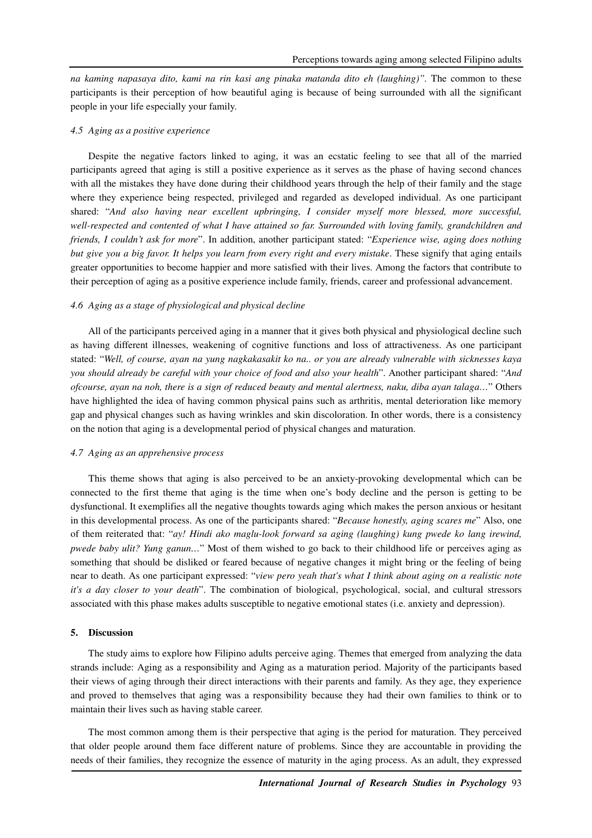*na kaming napasaya dito, kami na rin kasi ang pinaka matanda dito eh (laughing)".* The common to these participants is their perception of how beautiful aging is because of being surrounded with all the significant people in your life especially your family.

## *4.5 Aging as a positive experience*

Despite the negative factors linked to aging, it was an ecstatic feeling to see that all of the married participants agreed that aging is still a positive experience as it serves as the phase of having second chances with all the mistakes they have done during their childhood years through the help of their family and the stage where they experience being respected, privileged and regarded as developed individual. As one participant shared: "*And also having near excellent upbringing, I consider myself more blessed, more successful, well-respected and contented of what I have attained so far. Surrounded with loving family, grandchildren and friends, I couldn't ask for more*". In addition, another participant stated: "*Experience wise, aging does nothing but give you a big favor. It helps you learn from every right and every mistake*. These signify that aging entails greater opportunities to become happier and more satisfied with their lives. Among the factors that contribute to their perception of aging as a positive experience include family, friends, career and professional advancement.

## *4.6 Aging as a stage of physiological and physical decline*

All of the participants perceived aging in a manner that it gives both physical and physiological decline such as having different illnesses, weakening of cognitive functions and loss of attractiveness. As one participant stated: "*Well, of course, ayan na yung nagkakasakit ko na.. or you are already vulnerable with sicknesses kaya you should already be careful with your choice of food and also your health*". Another participant shared: "*And ofcourse, ayan na noh, there is a sign of reduced beauty and mental alertness, naku, diba ayan talaga…*" Others have highlighted the idea of having common physical pains such as arthritis, mental deterioration like memory gap and physical changes such as having wrinkles and skin discoloration. In other words, there is a consistency on the notion that aging is a developmental period of physical changes and maturation.

## *4.7 Aging as an apprehensive process*

This theme shows that aging is also perceived to be an anxiety-provoking developmental which can be connected to the first theme that aging is the time when one's body decline and the person is getting to be dysfunctional. It exemplifies all the negative thoughts towards aging which makes the person anxious or hesitant in this developmental process. As one of the participants shared: "*Because honestly, aging scares me*" Also, one of them reiterated that: "*ay! Hindi ako maglu-look forward sa aging (laughing) kung pwede ko lang irewind, pwede baby ulit? Yung ganun…*" Most of them wished to go back to their childhood life or perceives aging as something that should be disliked or feared because of negative changes it might bring or the feeling of being near to death. As one participant expressed: "*view pero yeah that's what I think about aging on a realistic note it's a day closer to your death*". The combination of biological, psychological, social, and cultural stressors associated with this phase makes adults susceptible to negative emotional states (i.e. anxiety and depression).

### **5. Discussion**

The study aims to explore how Filipino adults perceive aging. Themes that emerged from analyzing the data strands include: Aging as a responsibility and Aging as a maturation period. Majority of the participants based their views of aging through their direct interactions with their parents and family. As they age, they experience and proved to themselves that aging was a responsibility because they had their own families to think or to maintain their lives such as having stable career.

The most common among them is their perspective that aging is the period for maturation. They perceived that older people around them face different nature of problems. Since they are accountable in providing the needs of their families, they recognize the essence of maturity in the aging process. As an adult, they expressed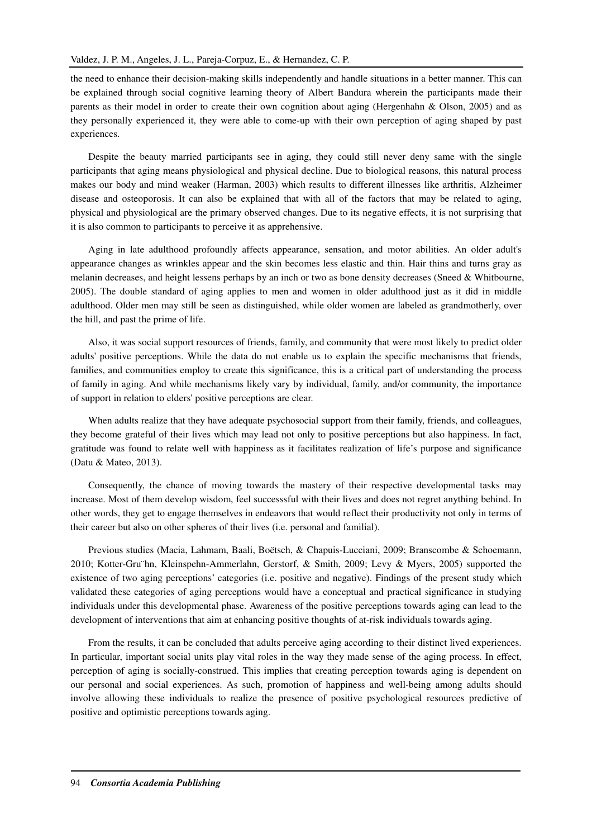the need to enhance their decision-making skills independently and handle situations in a better manner. This can be explained through social cognitive learning theory of Albert Bandura wherein the participants made their parents as their model in order to create their own cognition about aging (Hergenhahn & Olson, 2005) and as they personally experienced it, they were able to come-up with their own perception of aging shaped by past experiences.

Despite the beauty married participants see in aging, they could still never deny same with the single participants that aging means physiological and physical decline. Due to biological reasons, this natural process makes our body and mind weaker (Harman, 2003) which results to different illnesses like arthritis, Alzheimer disease and osteoporosis. It can also be explained that with all of the factors that may be related to aging, physical and physiological are the primary observed changes. Due to its negative effects, it is not surprising that it is also common to participants to perceive it as apprehensive.

Aging in late adulthood profoundly affects appearance, sensation, and motor abilities. An older adult's appearance changes as wrinkles appear and the skin becomes less elastic and thin. Hair thins and turns gray as melanin decreases, and height lessens perhaps by an inch or two as bone density decreases (Sneed & Whitbourne, 2005). The double standard of aging applies to men and women in older adulthood just as it did in middle adulthood. Older men may still be seen as distinguished, while older women are labeled as grandmotherly, over the hill, and past the prime of life.

Also, it was social support resources of friends, family, and community that were most likely to predict older adults' positive perceptions. While the data do not enable us to explain the specific mechanisms that friends, families, and communities employ to create this significance, this is a critical part of understanding the process of family in aging. And while mechanisms likely vary by individual, family, and/or community, the importance of support in relation to elders' positive perceptions are clear.

When adults realize that they have adequate psychosocial support from their family, friends, and colleagues, they become grateful of their lives which may lead not only to positive perceptions but also happiness. In fact, gratitude was found to relate well with happiness as it facilitates realization of life's purpose and significance (Datu & Mateo, 2013).

Consequently, the chance of moving towards the mastery of their respective developmental tasks may increase. Most of them develop wisdom, feel successsful with their lives and does not regret anything behind. In other words, they get to engage themselves in endeavors that would reflect their productivity not only in terms of their career but also on other spheres of their lives (i.e. personal and familial).

Previous studies (Macia, Lahmam, Baali, Boëtsch, & Chapuis-Lucciani, 2009; Branscombe & Schoemann, 2010; Kotter-Gru¨hn, Kleinspehn-Ammerlahn, Gerstorf, & Smith, 2009; Levy & Myers, 2005) supported the existence of two aging perceptions' categories (i.e. positive and negative). Findings of the present study which validated these categories of aging perceptions would have a conceptual and practical significance in studying individuals under this developmental phase. Awareness of the positive perceptions towards aging can lead to the development of interventions that aim at enhancing positive thoughts of at-risk individuals towards aging.

From the results, it can be concluded that adults perceive aging according to their distinct lived experiences. In particular, important social units play vital roles in the way they made sense of the aging process. In effect, perception of aging is socially-construed. This implies that creating perception towards aging is dependent on our personal and social experiences. As such, promotion of happiness and well-being among adults should involve allowing these individuals to realize the presence of positive psychological resources predictive of positive and optimistic perceptions towards aging.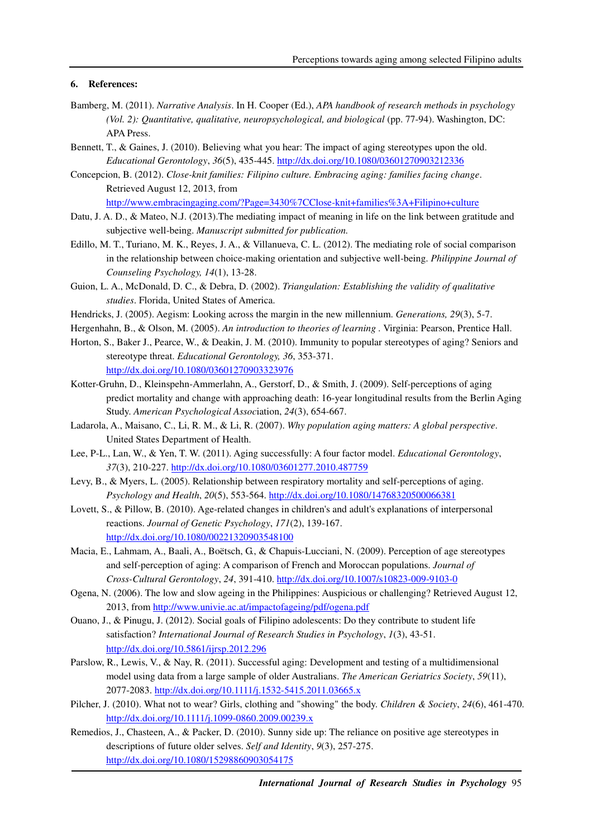## **6. References:**

- Bamberg, M. (2011). *Narrative Analysis*. In H. Cooper (Ed.), *APA handbook of research methods in psychology (Vol. 2): Quantitative, qualitative, neuropsychological, and biological* (pp. 77-94). Washington, DC: APA Press.
- Bennett, T., & Gaines, J. (2010). Believing what you hear: The impact of aging stereotypes upon the old. *Educational Gerontology*, *36*(5), 435-445. http://dx.doi.org/10.1080/03601270903212336
- Concepcion, B. (2012). *Close-knit families: Filipino culture. Embracing aging: families facing change*. Retrieved August 12, 2013, from http://www.embracingaging.com/?Page=3430%7CClose-knit+families%3A+Filipino+culture
- Datu, J. A. D., & Mateo, N.J. (2013).The mediating impact of meaning in life on the link between gratitude and subjective well-being. *Manuscript submitted for publication.*
- Edillo, M. T., Turiano, M. K., Reyes, J. A., & Villanueva, C. L. (2012). The mediating role of social comparison in the relationship between choice-making orientation and subjective well-being. *Philippine Journal of Counseling Psychology, 14*(1), 13-28.
- Guion, L. A., McDonald, D. C., & Debra, D. (2002). *Triangulation: Establishing the validity of qualitative studies*. Florida, United States of America.
- Hendricks, J. (2005). Aegism: Looking across the margin in the new millennium. *Generations, 29*(3), 5-7.
- Hergenhahn, B., & Olson, M. (2005). *An introduction to theories of learning .* Virginia: Pearson, Prentice Hall.
- Horton, S., Baker J., Pearce, W., & Deakin, J. M. (2010). Immunity to popular stereotypes of aging? Seniors and stereotype threat. *Educational Gerontology, 36*, 353-371. http://dx.doi.org/10.1080/03601270903323976
- Kotter-Gruhn, D., Kleinspehn-Ammerlahn, A., Gerstorf, D., & Smith, J. (2009). Self-perceptions of aging predict mortality and change with approaching death: 16-year longitudinal results from the Berlin Aging Study. *American Psychological Assoc*iation, *24*(3), 654-667.
- Ladarola, A., Maisano, C., Li, R. M., & Li, R. (2007). *Why population aging matters: A global perspective*. United States Department of Health.
- Lee, P-L., Lan, W., & Yen, T. W. (2011). Aging successfully: A four factor model. *Educational Gerontology*, *37*(3), 210-227. http://dx.doi.org/10.1080/03601277.2010.487759
- Levy, B., & Myers, L. (2005). Relationship between respiratory mortality and self-perceptions of aging. *Psychology and Health*, *20*(5), 553-564. http://dx.doi.org/10.1080/14768320500066381
- Lovett, S., & Pillow, B. (2010). Age-related changes in children's and adult's explanations of interpersonal reactions. *Journal of Genetic Psychology*, *171*(2), 139-167. http://dx.doi.org/10.1080/00221320903548100
- Macia, E., Lahmam, A., Baali, A., Boëtsch, G., & Chapuis-Lucciani, N. (2009). Perception of age stereotypes and self-perception of aging: A comparison of French and Moroccan populations. *Journal of Cross-Cultural Gerontology*, *24*, 391-410. http://dx.doi.org/10.1007/s10823-009-9103-0
- Ogena, N. (2006). The low and slow ageing in the Philippines: Auspicious or challenging? Retrieved August 12, 2013, from http://www.univie.ac.at/impactofageing/pdf/ogena.pdf
- Ouano, J., & Pinugu, J. (2012). Social goals of Filipino adolescents: Do they contribute to student life satisfaction? *International Journal of Research Studies in Psychology*, *1*(3), 43-51. http://dx.doi.org/10.5861/ijrsp.2012.296
- Parslow, R., Lewis, V., & Nay, R. (2011). Successful aging: Development and testing of a multidimensional model using data from a large sample of older Australians. *The American Geriatrics Society*, *59*(11), 2077-2083. http://dx.doi.org/10.1111/j.1532-5415.2011.03665.x
- Pilcher, J. (2010). What not to wear? Girls, clothing and "showing" the body. *Children & Society*, *24*(6), 461-470. http://dx.doi.org/10.1111/j.1099-0860.2009.00239.x
- Remedios, J., Chasteen, A., & Packer, D. (2010). Sunny side up: The reliance on positive age stereotypes in descriptions of future older selves. *Self and Identity*, *9*(3), 257-275. http://dx.doi.org/10.1080/15298860903054175